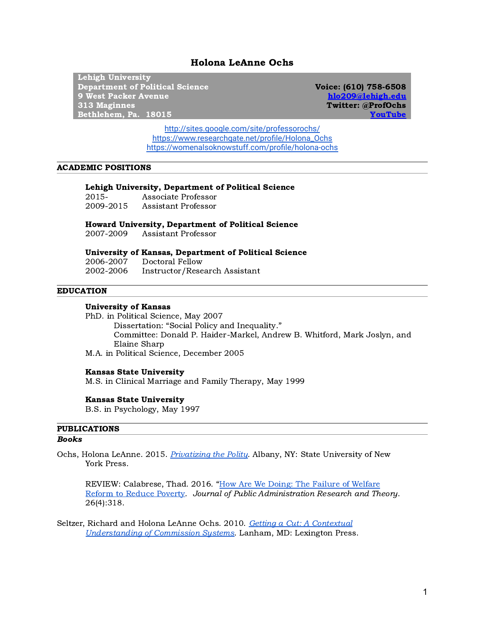# Holona LeAnne Ochs

Lehigh University Department of Political Science 9 West Packer Avenue 313 Maginnes Bethlehem, Pa. 18015

Voice: (610) 758-6508 [hlo209@lehigh.edu](mailto:hlo209@lehigh.edu) Twitter: @ProfOchs [YouTube](https://www.youtube.com/channel/UCi-WVnPKnpMudFjIgv02wLQ)

<http://sites.google.com/site/professorochs/> [https://www.researchgate.net/profile/Holona\\_Ochs](https://www.researchgate.net/profile/Holona_Ochs) <https://womenalsoknowstuff.com/profile/holona-ochs>

### ACADEMIC POSITIONS

### Lehigh University, Department of Political Science

2015- Associate Professor 2009-2015 Assistant Professor

Howard University, Department of Political Science

2007-2009 Assistant Professor

#### University of Kansas, Department of Political Science

2006-2007 Doctoral Fellow 2002-2006 Instructor/Research Assistant

#### EDUCATION

#### University of Kansas

PhD. in Political Science, May 2007 Dissertation: "Social Policy and Inequality." Committee: Donald P. Haider-Markel, Andrew B. Whitford, Mark Joslyn, and Elaine Sharp

M.A. in Political Science, December 2005

#### Kansas State University

M.S. in Clinical Marriage and Family Therapy, May 1999

#### Kansas State University

B.S. in Psychology, May 1997

## PUBLICATIONS

## Books

Ochs, Holona LeAnne. 2015. [Privatizing](https://www.sunypress.edu/p-6096-privatizing-the-polity.aspx) the Polity. Albany, NY: State University of New York Press.

REVIEW: Calabrese, Thad. 2016. "How Are We Doing: The Failure of [Welfare](https://academic.oup.com/jpart/article-abstract/26/4/816/2223054) Reform to Reduce [Poverty.](https://academic.oup.com/jpart/article-abstract/26/4/816/2223054) Journal of Public Administration Research and Theory. 26(4):318.

Seltzer, Richard and Holona LeAnne Ochs. 2010. Getting a Cut: A [Contextual](https://rowman.com/ISBN/9780739144398/Getting-a-Cut-A-Contextual-Understanding-of-Commission-Systems) [Understanding](https://rowman.com/ISBN/9780739144398/Getting-a-Cut-A-Contextual-Understanding-of-Commission-Systems) of Commission Systems. Lanham, MD: Lexington Press.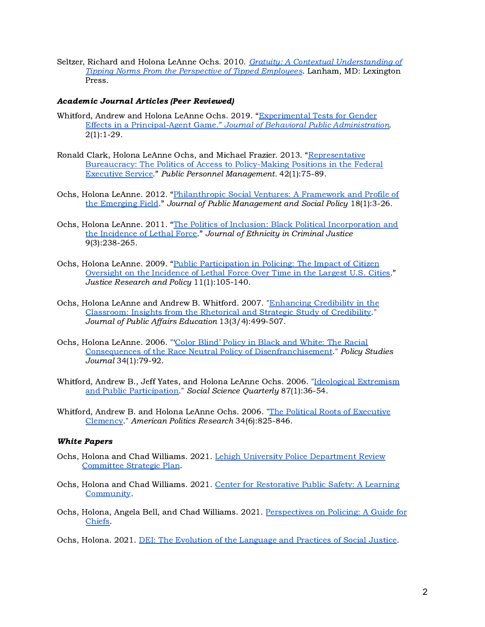Seltzer, Richard and Holona LeAnne Ochs. 2010. Gratuity: A Contextual [Understanding](https://rowman.com/ISBN/9780739144244/Gratuity-A-Contextual-Understanding-of-Tipping-Norms-from-the-Perspective-of-Tipped-Employees) of Tipping Norms From the Perspective of Tipped [Employees.](https://rowman.com/ISBN/9780739144244/Gratuity-A-Contextual-Understanding-of-Tipping-Norms-from-the-Perspective-of-Tipped-Employees) Lanham, MD: Lexington Press.

## Academic Journal Articles (Peer Reviewed)

- Whitford, Andrew and Holona LeAnne Ochs. 2019. "[Experimental](https://drive.google.com/file/d/10hAYoereBkyt42IUm604hUXeQSelGu4W/view?usp=sharing) Tests for Gender Effects in a Principal-Agent Game." Journal of Behavioral Public [Administration.](https://drive.google.com/file/d/10hAYoereBkyt42IUm604hUXeQSelGu4W/view?usp=sharing) 2(1):1-29.
- Ronald Clark, Holona LeAnne Ochs, and Michael Frazier. 2013. ["Representative](https://www.researchgate.net/publication/256463344_Ronald_Clark_Holona_LeAnne_Ochs_and_Michael_Frazier_2013_Representative_Bureaucracy_The_Politics_of_Access_to_Policy-Making_Positions_in_the_Federal_Executive_Service_Public_Personnel_Management_42175) Bureaucracy: The Politics of Access to [Policy-Making](https://www.researchgate.net/publication/256463344_Ronald_Clark_Holona_LeAnne_Ochs_and_Michael_Frazier_2013_Representative_Bureaucracy_The_Politics_of_Access_to_Policy-Making_Positions_in_the_Federal_Executive_Service_Public_Personnel_Management_42175) Positions in the Federal [Executive](https://www.researchgate.net/publication/256463344_Ronald_Clark_Holona_LeAnne_Ochs_and_Michael_Frazier_2013_Representative_Bureaucracy_The_Politics_of_Access_to_Policy-Making_Positions_in_the_Federal_Executive_Service_Public_Personnel_Management_42175) Service." Public Personnel Management. 42(1):75-89.
- Ochs, Holona LeAnne. 2012. ["Philanthropic](https://drive.google.com/file/d/1NA8KiO_q_ZxtgnYNvcNWLEEUdq29d9m8/view?usp=drive_web) Social Ventures: A Framework and Profile of the [Emerging](https://drive.google.com/file/d/1NA8KiO_q_ZxtgnYNvcNWLEEUdq29d9m8/view?usp=drive_web) Field." Journal of Public Management and Social Policy 18(1):3-26.
- Ochs, Holona LeAnne. 2011. "The Politics of Inclusion: Black Political [Incorporation](https://drive.google.com/file/d/1olLPCJRCQyUcgXfW2dcZboyJjfyHUZDl/view?usp=drive_web) and the [Incidence](https://drive.google.com/file/d/1olLPCJRCQyUcgXfW2dcZboyJjfyHUZDl/view?usp=drive_web) of Lethal Force." Journal of Ethnicity in Criminal Justice 9(3):238-265.
- Ochs, Holona LeAnne. 2009. "Public [Participation](https://drive.google.com/file/d/1ZZAj-VZblIeJO5_rTPidh6seFF_1YL4a/view?usp=drive_web) in Policing: The Impact of Citizen [Oversight](https://drive.google.com/file/d/1ZZAj-VZblIeJO5_rTPidh6seFF_1YL4a/view?usp=drive_web) on the Incidence of Lethal Force Over Time in the Largest U.S. Cities." Justice Research and Policy 11(1):105-140.
- Ochs, Holona LeAnne and Andrew B. Whitford. 2007. ["Enhancing](https://drive.google.com/file/d/1U5osJwYkoHHClfq1ehEy5LYXK4z-AUAq/view?usp=drive_web) Credibility in the [Classroom:](https://drive.google.com/file/d/1U5osJwYkoHHClfq1ehEy5LYXK4z-AUAq/view?usp=drive_web) Insights from the Rhetorical and Strategic Study of Credibility." Journal of Public Affairs Education 13(3/4):499-507.
- Ochs, Holona LeAnne. 2006. "'Color Blind' Policy in Black and [White:](https://drive.google.com/file/d/17LU7e3S6FC2tX4jE8w4q7JQVs_qtCPs3/view?usp=drive_web) The Racial Consequences of the Race Neutral Policy of [Disenfranchisement.](https://drive.google.com/file/d/17LU7e3S6FC2tX4jE8w4q7JQVs_qtCPs3/view?usp=drive_web)" Policy Studies Journal 34(1):79-92.
- Whitford, Andrew B., Jeff Yates, and Holona LeAnne Ochs. 2006. "Ideological [Extremism](https://drive.google.com/file/d/1S-0r3scrhi4aXTAw3muOPlxgqHuPEmg6/view?usp=drive_web) and Public [Participation.](https://drive.google.com/file/d/1S-0r3scrhi4aXTAw3muOPlxgqHuPEmg6/view?usp=drive_web)" Social Science Quarterly 87(1):36-54.
- Whitford, Andrew B. and Holona LeAnne Ochs. 2006. "The Political Roots of [Executive](https://drive.google.com/file/d/1K5JYdd2hp6SXNV5ElxBMjcPvVzAZSfX2/view?usp=drive_web) [Clemency](https://drive.google.com/file/d/1K5JYdd2hp6SXNV5ElxBMjcPvVzAZSfX2/view?usp=drive_web)." American Politics Research 34(6):825-846.

# White Papers

- Ochs, Holona and Chad Williams. 2021. Lehigh University Police [Department](https://docs.google.com/document/d/1ww67P5ethqPfDZ6i4acz83tIQa5ivnqOzzXDZJ6Fkl8/edit?usp=sharing) Review [Committee](https://docs.google.com/document/d/1ww67P5ethqPfDZ6i4acz83tIQa5ivnqOzzXDZJ6Fkl8/edit?usp=sharing) Strategic Plan.
- Ochs, Holona and Chad Williams. 2021. Center for [Restorative](https://docs.google.com/presentation/d/1Kj7ENDfTJd1epBRz-IxWshPXiXZoZS1coJPk-m0hXP0/edit?usp=sharing) Public Safety: A Learning [Community](https://docs.google.com/presentation/d/1Kj7ENDfTJd1epBRz-IxWshPXiXZoZS1coJPk-m0hXP0/edit?usp=sharing).
- Ochs, Holona, Angela Bell, and Chad Williams. 2021. [Perspectives](https://docs.google.com/document/d/17wxS82gkCR2nogqK9DHZbB1MA1lx3ooV7EYwkxacFrk/edit?usp=sharing) on Policing: A Guide for [Chiefs.](https://docs.google.com/document/d/17wxS82gkCR2nogqK9DHZbB1MA1lx3ooV7EYwkxacFrk/edit?usp=sharing)

Ochs, Holona. 2021. DEI: The Evolution of the [Language](https://docs.google.com/document/d/1_3ojT10odUwpKVOzaMFRePjbOiiMcqqo4xQO4bXqXgg/edit?usp=sharing) and Practices of Social Justice.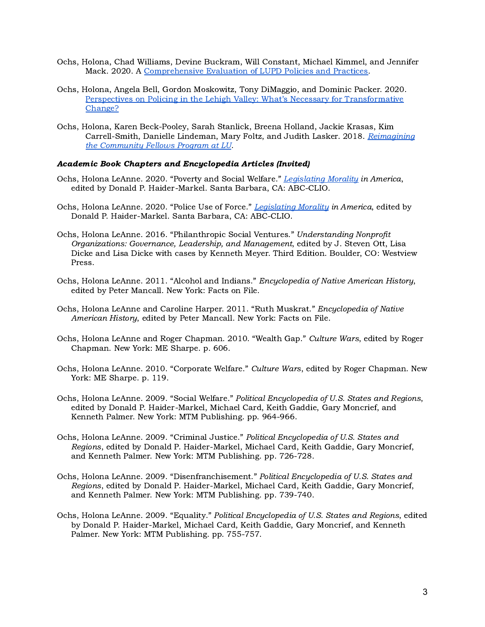- Ochs, Holona, Chad Williams, Devine Buckram, Will Constant, Michael Kimmel, and Jennifer Mack. 2020. A [Comprehensive](https://docs.google.com/document/d/1rB6F1w5B-3v3T9KrNEhJd28B6OkgSDWWJtBmstbWE9I/edit?usp=sharing) Evaluation of LUPD Policies and Practices.
- Ochs, Holona, Angela Bell, Gordon Moskowitz, Tony DiMaggio, and Dominic Packer. 2020. Perspectives on Policing in the Lehigh Valley: What's Necessary for [Transformative](https://docs.google.com/document/d/18V_1pH4P7vxjE3xeMzleLuhEg8QK6kPt1mGt4N7uLtI/edit?usp=sharing) [Change?](https://docs.google.com/document/d/18V_1pH4P7vxjE3xeMzleLuhEg8QK6kPt1mGt4N7uLtI/edit?usp=sharing)
- Ochs, Holona, Karen Beck-Pooley, Sarah Stanlick, Breena Holland, Jackie Krasas, Kim Carrell-Smith, Danielle Lindeman, Mary Foltz, and Judith Lasker. 2018. [Reimagining](https://drive.google.com/file/d/11XlbfBbbZ4lVP65dvyQxtE7NFv2ev9J5/view?usp=sharing) the [Community](https://drive.google.com/file/d/11XlbfBbbZ4lVP65dvyQxtE7NFv2ev9J5/view?usp=sharing) Fellows Program at LU.

## Academic Book Chapters and Encyclopedia Articles (Invited)

- Ochs, Holona LeAnne. 2020. "Poverty and Social Welfare." [Legislating](https://www.abc-clio.com/ABC-CLIOCorporate/product.aspx?pc=A5160C) Morality in America, edited by Donald P. Haider-Markel. Santa Barbara, CA: ABC-CLIO.
- Ochs, Holona LeAnne. 2020. "Police Use of Force." [Legislating](https://www.abc-clio.com/ABC-CLIOCorporate/product.aspx?pc=A5160C) Morality in America, edited by Donald P. Haider-Markel. Santa Barbara, CA: ABC-CLIO.
- Ochs, Holona LeAnne. 2016. "Philanthropic Social Ventures." Understanding Nonprofit Organizations: Governance, Leadership, and Management, edited by J. Steven Ott, Lisa Dicke and Lisa Dicke with cases by Kenneth Meyer. Third Edition. Boulder, CO: Westview Press.
- Ochs, Holona LeAnne. 2011. "Alcohol and Indians." Encyclopedia of Native American History, edited by Peter Mancall. New York: Facts on File.
- Ochs, Holona LeAnne and Caroline Harper. 2011. "Ruth Muskrat." Encyclopedia of Native American History, edited by Peter Mancall. New York: Facts on File.
- Ochs, Holona LeAnne and Roger Chapman. 2010. "Wealth Gap." Culture Wars, edited by Roger Chapman. New York: ME Sharpe. p. 606.
- Ochs, Holona LeAnne. 2010. "Corporate Welfare." Culture Wars, edited by Roger Chapman. New York: ME Sharpe. p. 119.
- Ochs, Holona LeAnne. 2009. "Social Welfare." Political Encyclopedia of U.S. States and Regions, edited by Donald P. Haider-Markel, Michael Card, Keith Gaddie, Gary Moncrief, and Kenneth Palmer. New York: MTM Publishing. pp. 964-966.
- Ochs, Holona LeAnne. 2009. "Criminal Justice." Political Encyclopedia of U.S. States and Regions, edited by Donald P. Haider-Markel, Michael Card, Keith Gaddie, Gary Moncrief, and Kenneth Palmer. New York: MTM Publishing. pp. 726-728.
- Ochs, Holona LeAnne. 2009. "Disenfranchisement." Political Encyclopedia of U.S. States and Regions, edited by Donald P. Haider-Markel, Michael Card, Keith Gaddie, Gary Moncrief, and Kenneth Palmer. New York: MTM Publishing. pp. 739-740.
- Ochs, Holona LeAnne. 2009. "Equality." Political Encyclopedia of U.S. States and Regions, edited by Donald P. Haider-Markel, Michael Card, Keith Gaddie, Gary Moncrief, and Kenneth Palmer. New York: MTM Publishing. pp. 755-757.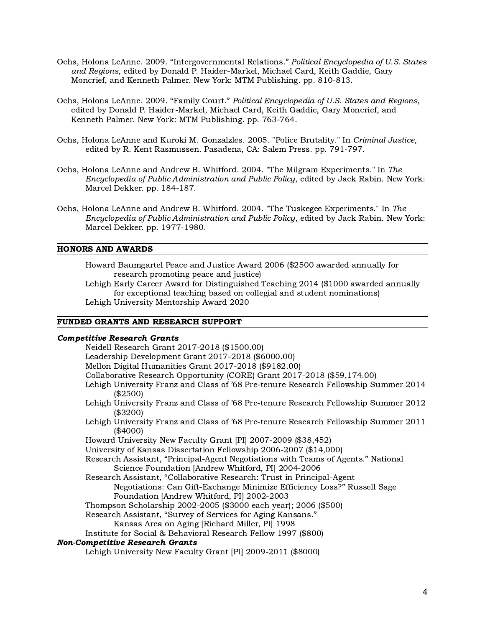- Ochs, Holona LeAnne. 2009. "Intergovernmental Relations." Political Encyclopedia of U.S. States and Regions, edited by Donald P. Haider-Markel, Michael Card, Keith Gaddie, Gary Moncrief, and Kenneth Palmer. New York: MTM Publishing. pp. 810-813.
- Ochs, Holona LeAnne. 2009. "Family Court." Political Encyclopedia of U.S. States and Regions, edited by Donald P. Haider-Markel, Michael Card, Keith Gaddie, Gary Moncrief, and Kenneth Palmer. New York: MTM Publishing. pp. 763-764.
- Ochs, Holona LeAnne and Kuroki M. Gonzalzles. 2005. "Police Brutality." In Criminal Justice, edited by R. Kent Rasmussen. Pasadena, CA: Salem Press. pp. 791-797.
- Ochs, Holona LeAnne and Andrew B. Whitford. 2004. "The Milgram Experiments." In The Encyclopedia of Public Administration and Public Policy, edited by Jack Rabin. New York: Marcel Dekker. pp. 184-187.
- Ochs, Holona LeAnne and Andrew B. Whitford. 2004. "The Tuskegee Experiments." In The Encyclopedia of Public Administration and Public Policy, edited by Jack Rabin. New York: Marcel Dekker. pp. 1977-1980.

#### HONORS AND AWARDS

Howard Baumgartel Peace and Justice Award 2006 (\$2500 awarded annually for research promoting peace and justice)

Lehigh Early Career Award for Distinguished Teaching 2014 (\$1000 awarded annually for exceptional teaching based on collegial and student nominations) Lehigh University Mentorship Award 2020

#### FUNDED GRANTS AND RESEARCH SUPPORT

#### Competitive Research Grants

Neidell Research Grant 2017-2018 (\$1500.00) Leadership Development Grant 2017-2018 (\$6000.00) Mellon Digital Humanities Grant 2017-2018 (\$9182.00) Collaborative Research Opportunity (CORE) Grant 2017-2018 (\$59,174.00) Lehigh University Franz and Class of '68 Pre-tenure Research Fellowship Summer 2014 (\$2500) Lehigh University Franz and Class of '68 Pre-tenure Research Fellowship Summer 2012 (\$3200) Lehigh University Franz and Class of '68 Pre-tenure Research Fellowship Summer 2011 (\$4000) Howard University New Faculty Grant [PI] 2007-2009 (\$38,452) University of Kansas Dissertation Fellowship 2006-2007 (\$14,000) Research Assistant, "Principal-Agent Negotiations with Teams of Agents." National Science Foundation [Andrew Whitford, PI] 2004-2006 Research Assistant, "Collaborative Research: Trust in Principal-Agent Negotiations: Can Gift-Exchange Minimize Efficiency Loss?" Russell Sage Foundation [Andrew Whitford, PI] 2002-2003 Thompson Scholarship 2002-2005 (\$3000 each year); 2006 (\$500) Research Assistant, "Survey of Services for Aging Kansans." Kansas Area on Aging [Richard Miller, PI] 1998 Institute for Social & Behavioral Research Fellow 1997 (\$800) Non-Competitive Research Grants

#### Lehigh University New Faculty Grant [PI] 2009-2011 (\$8000)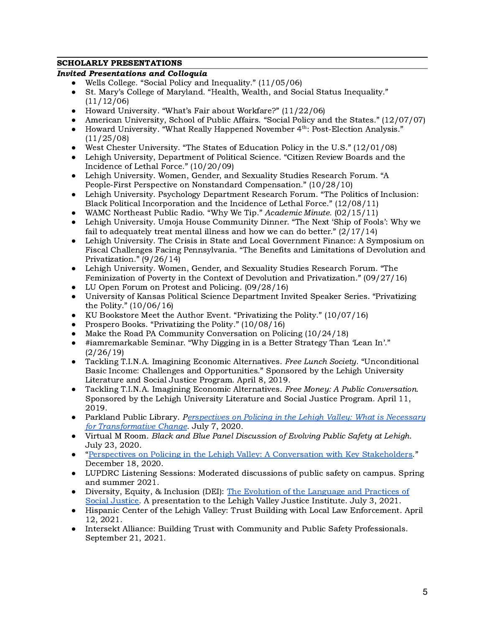# SCHOLARLY PRESENTATIONS

# Invited Presentations and Colloquia

- Wells College. "Social Policy and Inequality." (11/05/06)
- St. Mary's College of Maryland. "Health, Wealth, and Social Status Inequality." (11/12/06)
- Howard University. "What's Fair about Workfare?" (11/22/06)
- American University, School of Public Affairs. "Social Policy and the States." (12/07/07)
- Howard University. "What Really Happened November 4<sup>th</sup>: Post-Election Analysis." (11/25/08)
- West Chester University. "The States of Education Policy in the U.S." (12/01/08)
- Lehigh University, Department of Political Science. "Citizen Review Boards and the Incidence of Lethal Force." (10/20/09)
- Lehigh University. Women, Gender, and Sexuality Studies Research Forum. "A People-First Perspective on Nonstandard Compensation." (10/28/10)
- Lehigh University. Psychology Department Research Forum. "The Politics of Inclusion: Black Political Incorporation and the Incidence of Lethal Force." (12/08/11)
- WAMC Northeast Public Radio. "Why We Tip." Academic Minute. (02/15/11)
- Lehigh University. Umoja House Community Dinner. "The Next 'Ship of Fools': Why we fail to adequately treat mental illness and how we can do better." (2/17/14)
- Lehigh University. The Crisis in State and Local Government Finance: A Symposium on Fiscal Challenges Facing Pennsylvania. "The Benefits and Limitations of Devolution and Privatization." (9/26/14)
- Lehigh University. Women, Gender, and Sexuality Studies Research Forum. "The Feminization of Poverty in the Context of Devolution and Privatization." (09/27/16)
- LU Open Forum on Protest and Policing. (09/28/16)
- University of Kansas Political Science Department Invited Speaker Series. "Privatizing the Polity." (10/06/16)
- KU Bookstore Meet the Author Event. "Privatizing the Polity." (10/07/16)
- Prospero Books. "Privatizing the Polity." (10/08/16)
- Make the Road PA Community Conversation on Policing (10/24/18)
- #iamremarkable Seminar. "Why Digging in is a Better Strategy Than 'Lean In'." (2/26/19)
- Tackling T.I.N.A. Imagining Economic Alternatives. Free Lunch Society. "Unconditional Basic Income: Challenges and Opportunities." Sponsored by the Lehigh University Literature and Social Justice Program. April 8, 2019.
- Tackling T.I.N.A. Imagining Economic Alternatives. Free Money: A Public Conversation. Sponsored by the Lehigh University Literature and Social Justice Program. April 11, 2019.
- Parkland Public Library. P[erspectives](https://docs.google.com/document/d/18V_1pH4P7vxjE3xeMzleLuhEg8QK6kPt1mGt4N7uLtI/edit?usp=sharing) on Policing in the Lehigh Valley: What is Necessary for [Transformative](https://docs.google.com/document/d/18V_1pH4P7vxjE3xeMzleLuhEg8QK6kPt1mGt4N7uLtI/edit?usp=sharing) Change. July 7, 2020.
- Virtual M Room. Black and Blue Panel Discussion of Evolving Public Safety at Lehigh. July 23, 2020.
- "Perspectives on Policing in the Lehigh Valley: A [Conversation](https://docs.google.com/document/d/1_3ojT10odUwpKVOzaMFRePjbOiiMcqqo4xQO4bXqXgg/edit?usp=sharing) with Key Stakeholders." December 18, 2020.
- LUPDRC Listening Sessions: Moderated discussions of public safety on campus. Spring and summer 2021.
- Diversity, Equity, & Inclusion (DEI): The Evolution of the [Language](https://docs.google.com/document/d/1_3ojT10odUwpKVOzaMFRePjbOiiMcqqo4xQO4bXqXgg/edit?usp=sharing) and Practices of Social [Justice.](https://docs.google.com/document/d/1_3ojT10odUwpKVOzaMFRePjbOiiMcqqo4xQO4bXqXgg/edit?usp=sharing) A presentation to the Lehigh Valley Justice Institute. July 3, 2021.
- Hispanic Center of the Lehigh Valley: Trust Building with Local Law Enforcement. April 12, 2021.
- Intersekt Alliance: Building Trust with Community and Public Safety Professionals. September 21, 2021.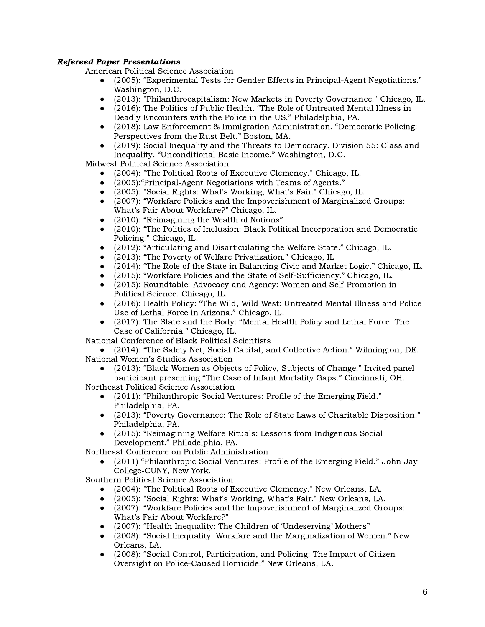# Refereed Paper Presentations

American Political Science Association

- (2005): "Experimental Tests for Gender Effects in Principal-Agent Negotiations." Washington, D.C.
- (2013): "Philanthrocapitalism: New Markets in Poverty Governance." Chicago, IL.
- (2016): The Politics of Public Health. "The Role of Untreated Mental Illness in Deadly Encounters with the Police in the US." Philadelphia, PA.
- (2018): Law Enforcement & Immigration Administration. "Democratic Policing: Perspectives from the Rust Belt." Boston, MA.
- (2019): Social Inequality and the Threats to Democracy. Division 55: Class and Inequality. "Unconditional Basic Income." Washington, D.C.

Midwest Political Science Association

- (2004): "The Political Roots of Executive Clemency." Chicago, IL.
- (2005): "Principal-Agent Negotiations with Teams of Agents."
- (2005): "Social Rights: What's Working, What's Fair." Chicago, IL.
- (2007): "Workfare Policies and the Impoverishment of Marginalized Groups: What's Fair About Workfare?" Chicago, IL.
- (2010): "Reimagining the Wealth of Notions"
- (2010): "The Politics of Inclusion: Black Political Incorporation and Democratic Policing." Chicago, IL.
- (2012): "Articulating and Disarticulating the Welfare State." Chicago, IL.
- (2013): "The Poverty of Welfare Privatization." Chicago, IL
- (2014): "The Role of the State in Balancing Civic and Market Logic." Chicago, IL.
- (2015): "Workfare Policies and the State of Self-Sufficiency." Chicago, IL.
- (2015): Roundtable: Advocacy and Agency: Women and Self-Promotion in Political Science. Chicago, IL.
- (2016): Health Policy: "The Wild, Wild West: Untreated Mental Illness and Police Use of Lethal Force in Arizona." Chicago, IL.
- (2017): The State and the Body: "Mental Health Policy and Lethal Force: The Case of California." Chicago, IL.

National Conference of Black Political Scientists

(2014): "The Safety Net, Social Capital, and Collective Action." Wilmington, DE. National Women's Studies Association

(2013): "Black Women as Objects of Policy, Subjects of Change." Invited panel participant presenting "The Case of Infant Mortality Gaps." Cincinnati, OH.

Northeast Political Science Association

- (2011): "Philanthropic Social Ventures: Profile of the Emerging Field." Philadelphia, PA.
- (2013): "Poverty Governance: The Role of State Laws of Charitable Disposition." Philadelphia, PA.
- (2015): "Reimagining Welfare Rituals: Lessons from Indigenous Social Development." Philadelphia, PA.

Northeast Conference on Public Administration

(2011) "Philanthropic Social Ventures: Profile of the Emerging Field." John Jay College-CUNY, New York.

Southern Political Science Association

- (2004): "The Political Roots of Executive Clemency." New Orleans, LA.
- (2005): "Social Rights: What's Working, What's Fair." New Orleans, LA.
- (2007): "Workfare Policies and the Impoverishment of Marginalized Groups: What's Fair About Workfare?"
- (2007): "Health Inequality: The Children of 'Undeserving' Mothers"
- (2008): "Social Inequality: Workfare and the Marginalization of Women." New Orleans, LA.
- (2008): "Social Control, Participation, and Policing: The Impact of Citizen Oversight on Police-Caused Homicide." New Orleans, LA.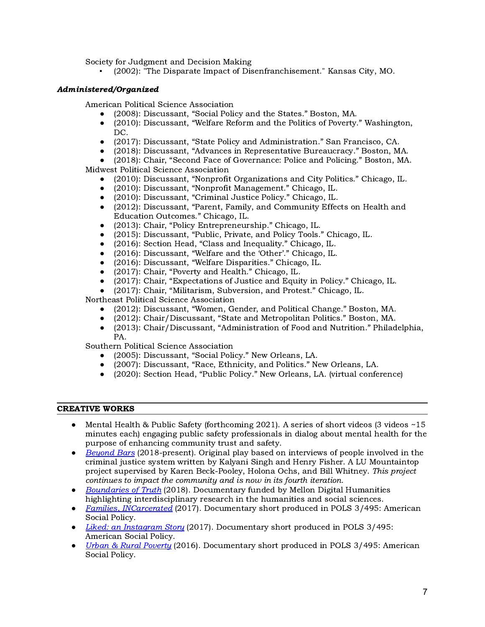Society for Judgment and Decision Making

▪ (2002): "The Disparate Impact of Disenfranchisement." Kansas City, MO.

# Administered/Organized

American Political Science Association

- (2008): Discussant, "Social Policy and the States." Boston, MA.
- $(2010)$ : Discussant, "Welfare Reform and the Politics of Poverty." Washington, DC.
- (2017): Discussant, "State Policy and Administration." San Francisco, CA.
- (2018): Discussant, "Advances in Representative Bureaucracy." Boston, MA.

(2018): Chair, "Second Face of Governance: Police and Policing." Boston, MA. Midwest Political Science Association

- (2010): Discussant, "Nonprofit Organizations and City Politics." Chicago, IL.
- (2010): Discussant, "Nonprofit Management." Chicago, IL.
- (2010): Discussant, "Criminal Justice Policy." Chicago, IL.
- $(2012)$ : Discussant, "Parent, Family, and Community Effects on Health and Education Outcomes." Chicago, IL.
- (2013): Chair, "Policy Entrepreneurship." Chicago, IL.
- (2015): Discussant, "Public, Private, and Policy Tools." Chicago, IL.
- (2016): Section Head, "Class and Inequality." Chicago, IL.
- (2016): Discussant, "Welfare and the 'Other'." Chicago, IL.
- (2016): Discussant, "Welfare Disparities." Chicago, IL.
- (2017): Chair, "Poverty and Health." Chicago, IL.
- (2017): Chair, "Expectations of Justice and Equity in Policy." Chicago, IL.
- (2017): Chair, "Militarism, Subversion, and Protest." Chicago, IL.

Northeast Political Science Association

- (2012): Discussant, "Women, Gender, and Political Change." Boston, MA.
- (2012): Chair/Discussant, "State and Metropolitan Politics." Boston, MA.
- (2013): Chair/Discussant, "Administration of Food and Nutrition." Philadelphia, PA.

Southern Political Science Association

- (2005): Discussant, "Social Policy." New Orleans, LA.
- (2007): Discussant, "Race, Ethnicity, and Politics." New Orleans, LA.
- (2020): Section Head, "Public Policy." New Orleans, LA. (virtual conference)

## CREATIVE WORKS

- Mental Health & Public Safety (forthcoming 2021). A series of short videos (3 videos ~15 minutes each) engaging public safety professionals in dialog about mental health for the purpose of enhancing community trust and safety.
- [Beyond](https://www2.lehigh.edu/news/video/14109) Bars (2018-present). Original play based on interviews of people involved in the criminal justice system written by Kalyani Singh and Henry Fisher. A LU Mountaintop project supervised by Karen Beck-Pooley, Holona Ochs, and Bill Whitney. This project continues to impact the community and is now in its fourth iteration.
- [Boundaries](https://drive.google.com/file/d/1x4WbxiRGv6LHQ6mhW8B5aGawiOTVa6Ot/view?usp=sharing) of Truth (2018). Documentary funded by Mellon Digital Humanities highlighting interdisciplinary research in the humanities and social sciences.
- Families, [INCarcerated](https://www.youtube.com/watch?v=SADvL037AUo&t=3s) (2017). Documentary short produced in POLS 3/495: American Social Policy.
- Liked: an [Instagram](https://www.youtube.com/watch?v=FAx_krJiLDQ&t=5s) Story (2017). Documentary short produced in POLS 3/495: American Social Policy.
- Urban & Rural [Poverty](https://www.youtube.com/watch?v=yHLTkZ_axRg&t=8s) (2016). Documentary short produced in POLS 3/495: American Social Policy.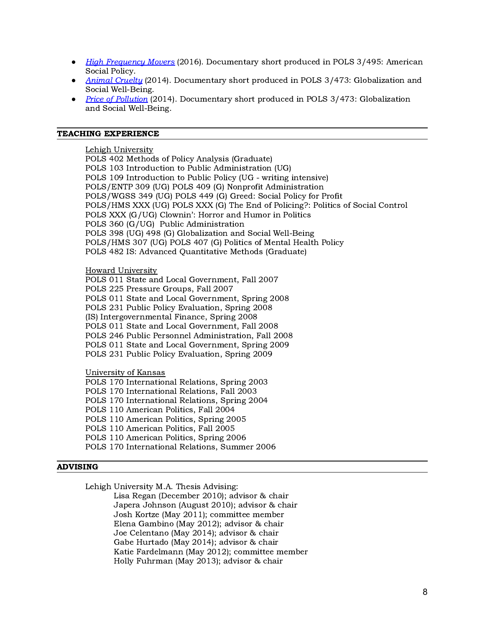- High [Frequency](https://www.youtube.com/watch?v=l6g1uqg9DxU&t=2s) Movers (2016). Documentary short produced in POLS 3/495: American Social Policy.
- Animal [Cruelty](https://i.ytimg.com/vi/nR0rWRkWZEo/hqdefault.jpg?sqp=-oaymwEZCNACELwBSFXyq4qpAwsIARUAAIhCGAFwAQ==&rs=AOn4CLDCqSXtJBkSlOqxxqzjVU_hY0KjJQ) (2014). Documentary short produced in POLS 3/473: Globalization and Social Well-Being.
- Price of [Pollution](https://i.ytimg.com/vi/bFkd2G79H4Q/hqdefault.jpg?sqp=-oaymwEZCNACELwBSFXyq4qpAwsIARUAAIhCGAFwAQ==&rs=AOn4CLCedFYOL7ljVdfcKY0P24fPkISgmQ) (2014). Documentary short produced in POLS 3/473: Globalization and Social Well-Being.

#### TEACHING EXPERIENCE

Lehigh University

POLS 402 Methods of Policy Analysis (Graduate) POLS 103 Introduction to Public Administration (UG) POLS 109 Introduction to Public Policy (UG - writing intensive) POLS/ENTP 309 (UG) POLS 409 (G) Nonprofit Administration POLS/WGSS 349 (UG) POLS 449 (G) Greed: Social Policy for Profit POLS/HMS XXX (UG) POLS XXX (G) The End of Policing?: Politics of Social Control POLS XXX (G/UG) Clownin': Horror and Humor in Politics POLS 360 (G/UG) Public Administration POLS 398 (UG) 498 (G) Globalization and Social Well-Being POLS/HMS 307 (UG) POLS 407 (G) Politics of Mental Health Policy POLS 482 IS: Advanced Quantitative Methods (Graduate)

### **Howard University**

POLS 011 State and Local Government, Fall 2007 POLS 225 Pressure Groups, Fall 2007 POLS 011 State and Local Government, Spring 2008 POLS 231 Public Policy Evaluation, Spring 2008 (IS) Intergovernmental Finance, Spring 2008 POLS 011 State and Local Government, Fall 2008 POLS 246 Public Personnel Administration, Fall 2008 POLS 011 State and Local Government, Spring 2009 POLS 231 Public Policy Evaluation, Spring 2009

University of Kansas

POLS 170 International Relations, Spring 2003 POLS 170 International Relations, Fall 2003 POLS 170 International Relations, Spring 2004 POLS 110 American Politics, Fall 2004 POLS 110 American Politics, Spring 2005 POLS 110 American Politics, Fall 2005 POLS 110 American Politics, Spring 2006 POLS 170 International Relations, Summer 2006

## ADVISING

Lehigh University M.A. Thesis Advising:

Lisa Regan (December 2010); advisor & chair Japera Johnson (August 2010); advisor & chair Josh Kortze (May 2011); committee member Elena Gambino (May 2012); advisor & chair Joe Celentano (May 2014); advisor & chair Gabe Hurtado (May 2014); advisor & chair Katie Fardelmann (May 2012); committee member Holly Fuhrman (May 2013); advisor & chair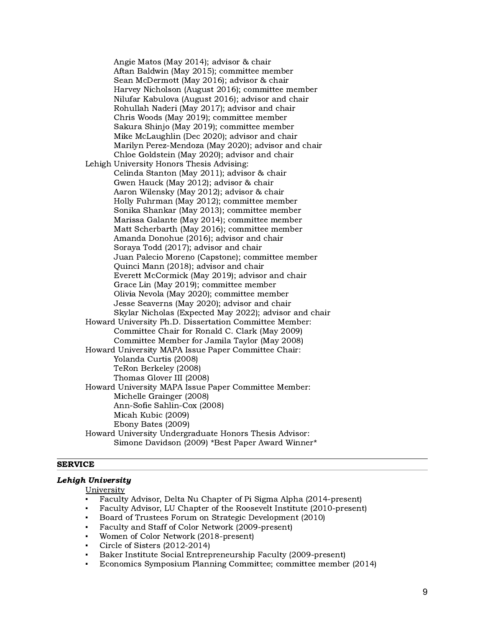Angie Matos (May 2014); advisor & chair Aftan Baldwin (May 2015); committee member Sean McDermott (May 2016); advisor & chair Harvey Nicholson (August 2016); committee member Nilufar Kabulova (August 2016); advisor and chair Rohullah Naderi (May 2017); advisor and chair Chris Woods (May 2019); committee member Sakura Shinjo (May 2019); committee member Mike McLaughlin (Dec 2020); advisor and chair Marilyn Perez-Mendoza (May 2020); advisor and chair Chloe Goldstein (May 2020); advisor and chair Lehigh University Honors Thesis Advising: Celinda Stanton (May 2011); advisor & chair Gwen Hauck (May 2012); advisor & chair Aaron Wilensky (May 2012); advisor & chair Holly Fuhrman (May 2012); committee member Sonika Shankar (May 2013); committee member Marissa Galante (May 2014); committee member Matt Scherbarth (May 2016); committee member Amanda Donohue (2016); advisor and chair Soraya Todd (2017); advisor and chair Juan Palecio Moreno (Capstone); committee member Quinci Mann (2018); advisor and chair Everett McCormick (May 2019); advisor and chair Grace Lin (May 2019); committee member Olivia Nevola (May 2020); committee member Jesse Seaverns (May 2020); advisor and chair Skylar Nicholas (Expected May 2022); advisor and chair Howard University Ph.D. Dissertation Committee Member: Committee Chair for Ronald C. Clark (May 2009) Committee Member for Jamila Taylor (May 2008) Howard University MAPA Issue Paper Committee Chair: Yolanda Curtis (2008) TeRon Berkeley (2008) Thomas Glover III (2008) Howard University MAPA Issue Paper Committee Member: Michelle Grainger (2008) Ann-Sofie Sahlin-Cox (2008) Micah Kubic (2009) Ebony Bates (2009) Howard University Undergraduate Honors Thesis Advisor: Simone Davidson (2009) \*Best Paper Award Winner\*

#### SERVICE

# Lehigh University

**University** 

- Faculty Advisor, Delta Nu Chapter of Pi Sigma Alpha (2014-present)
- Faculty Advisor, LU Chapter of the Roosevelt Institute (2010-present)
- Board of Trustees Forum on Strategic Development (2010)
- Faculty and Staff of Color Network (2009-present)
- Women of Color Network (2018-present)
- Circle of Sisters  $(2012-2014)$
- Baker Institute Social Entrepreneurship Faculty (2009-present)
- Economics Symposium Planning Committee; committee member (2014)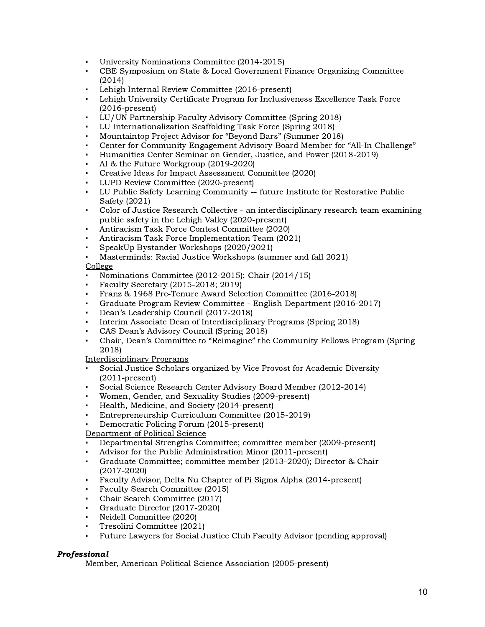- University Nominations Committee (2014-2015)
- CBE Symposium on State & Local Government Finance Organizing Committee (2014)
- Lehigh Internal Review Committee (2016-present)
- Lehigh University Certificate Program for Inclusiveness Excellence Task Force (2016-present)
- LU/UN Partnership Faculty Advisory Committee (Spring 2018)
- LU Internationalization Scaffolding Task Force (Spring 2018)
- Mountaintop Project Advisor for "Beyond Bars" (Summer 2018)
- Center for Community Engagement Advisory Board Member for "All-In Challenge"
- Humanities Center Seminar on Gender, Justice, and Power (2018-2019)
- AI & the Future Workgroup (2019-2020)
- Creative Ideas for Impact Assessment Committee (2020)
- LUPD Review Committee (2020-present)
- LU Public Safety Learning Community -- future Institute for Restorative Public Safety (2021)
- Color of Justice Research Collective an interdisciplinary research team examining public safety in the Lehigh Valley (2020-present)
- Antiracism Task Force Contest Committee (2020)
- Antiracism Task Force Implementation Team (2021)
- SpeakUp Bystander Workshops (2020/2021)
- Masterminds: Racial Justice Workshops (summer and fall 2021)

# **College**

- Nominations Committee (2012-2015); Chair (2014/15)
- Faculty Secretary (2015-2018; 2019)
- Franz & 1968 Pre-Tenure Award Selection Committee (2016-2018)
- Graduate Program Review Committee English Department (2016-2017)
- Dean's Leadership Council (2017-2018)
- Interim Associate Dean of Interdisciplinary Programs (Spring 2018)
- CAS Dean's Advisory Council (Spring 2018)
- Chair, Dean's Committee to "Reimagine" the Community Fellows Program (Spring 2018)

# Interdisciplinary Programs

- Social Justice Scholars organized by Vice Provost for Academic Diversity (2011-present)
- Social Science Research Center Advisory Board Member (2012-2014)
- Women, Gender, and Sexuality Studies (2009-present)
- Health, Medicine, and Society (2014-present)
- Entrepreneurship Curriculum Committee (2015-2019)
- Democratic Policing Forum (2015-present)

# Department of Political Science

- Departmental Strengths Committee; committee member (2009-present)
- Advisor for the Public Administration Minor (2011-present)
- Graduate Committee; committee member (2013-2020); Director & Chair (2017-2020)
- Faculty Advisor, Delta Nu Chapter of Pi Sigma Alpha (2014-present)
- Faculty Search Committee (2015)
- Chair Search Committee (2017)
- Graduate Director (2017-2020)
- Neidell Committee (2020)
- Tresolini Committee (2021)
- Future Lawyers for Social Justice Club Faculty Advisor (pending approval)

# Professional

Member, American Political Science Association (2005-present)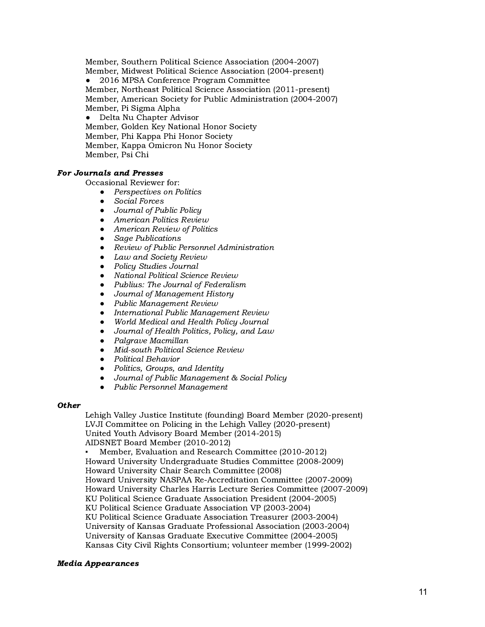Member, Southern Political Science Association (2004-2007) Member, Midwest Political Science Association (2004-present)

● 2016 MPSA Conference Program Committee Member, Northeast Political Science Association (2011-present) Member, American Society for Public Administration (2004-2007) Member, Pi Sigma Alpha

Delta Nu Chapter Advisor

Member, Golden Key National Honor Society Member, Phi Kappa Phi Honor Society Member, Kappa Omicron Nu Honor Society Member, Psi Chi

## For Journals and Presses

Occasional Reviewer for:

- *●* Perspectives on Politics
- *●* Social Forces
- *●* Journal of Public Policy
- *●* American Politics Review
- *●* American Review of Politics
- *●* Sage Publications
- *●* Review of Public Personnel Administration
- *●* Law and Society Review
- *●* Policy Studies Journal
- *●* National Political Science Review
- *●* Publius: The Journal of Federalism
- *●* Journal of Management History
- *●* Public Management Review
- *●* International Public Management Review
- *●* World Medical and Health Policy Journal
- *●* Journal of Health Politics, Policy, and Law
- *●* Palgrave Macmillan
- *●* Mid-south Political Science Review
- *●* Political Behavior
- *●* Politics, Groups, and Identity
- *●* Journal of Public Management & Social Policy
- *●* Public Personnel Management

## **Other**

Lehigh Valley Justice Institute (founding) Board Member (2020-present) LVJI Committee on Policing in the Lehigh Valley (2020-present) United Youth Advisory Board Member (2014-2015) AIDSNET Board Member (2010-2012)

Member, Evaluation and Research Committee (2010-2012) Howard University Undergraduate Studies Committee (2008-2009) Howard University Chair Search Committee (2008) Howard University NASPAA Re-Accreditation Committee (2007-2009) Howard University Charles Harris Lecture Series Committee (2007-2009) KU Political Science Graduate Association President (2004-2005) KU Political Science Graduate Association VP (2003-2004) KU Political Science Graduate Association Treasurer (2003-2004) University of Kansas Graduate Professional Association (2003-2004) University of Kansas Graduate Executive Committee (2004-2005) Kansas City Civil Rights Consortium; volunteer member (1999-2002)

# Media Appearances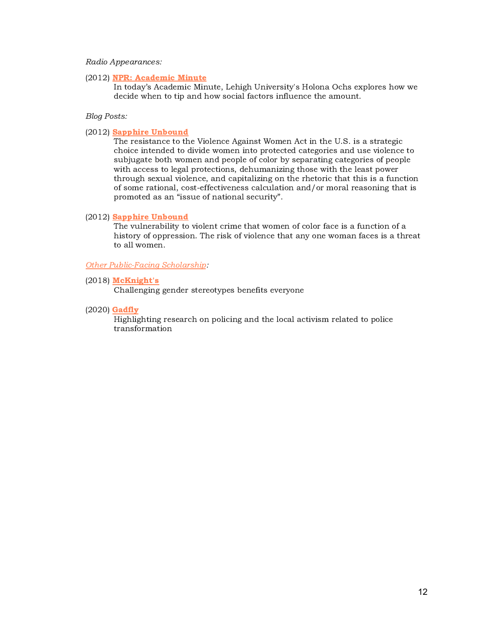#### Radio Appearances:

#### (2012) NPR: [Academic](https://www.insidehighered.com/audio/2011/02/15/deciding-when-tip) Minute

In today's Academic Minute, Lehigh University's Holona Ochs explores how we decide when to tip and how social factors influence the amount.

#### Blog Posts:

## (2012) Sapphire [Unbound](http://womanistscholar.blogspot.com/2012/12/hostages-over-cliff-or-not-one-of-those.html)

The resistance to the Violence Against Women Act in the U.S. is a strategic choice intended to divide women into protected categories and use violence to subjugate both women and people of color by separating categories of people with access to legal protections, dehumanizing those with the least power through sexual violence, and capitalizing on the rhetoric that this is a function of some rational, cost-effectiveness calculation and/or moral reasoning that is promoted as an "issue of national security".

#### (2012) Sapphire [Unbound](http://womanistscholar.blogspot.com/2012/12/the-con-in-quest.html)

The vulnerability to violent crime that women of color face is a function of a history of oppression. The risk of violence that any one woman faces is a threat to all women.

#### Other [Public-Facing](https://www.google.com/search?q=holona+ochs+lehigh&tbm=nws&ei=I-xoYeC_BMmsytMPkc2i6A4&start=0&sa=N&ved=2ahUKEwig3ajps8vzAhVJlnIEHZGmCO04ChDx0wN6BAgBEDQ&biw=1920&bih=979&dpr=1) Scholarship:

#### (2018) [McKnight's](https://www.mcknights.com/blogs/guest-columns/challenging-gender-stereotypes-benefits-everyone/)

Challenging gender stereotypes benefits everyone

#### (2020) [Gadfly](https://thebethlehemgadfly.com/category/ochs-holona/)

Highlighting research on policing and the local activism related to police transformation